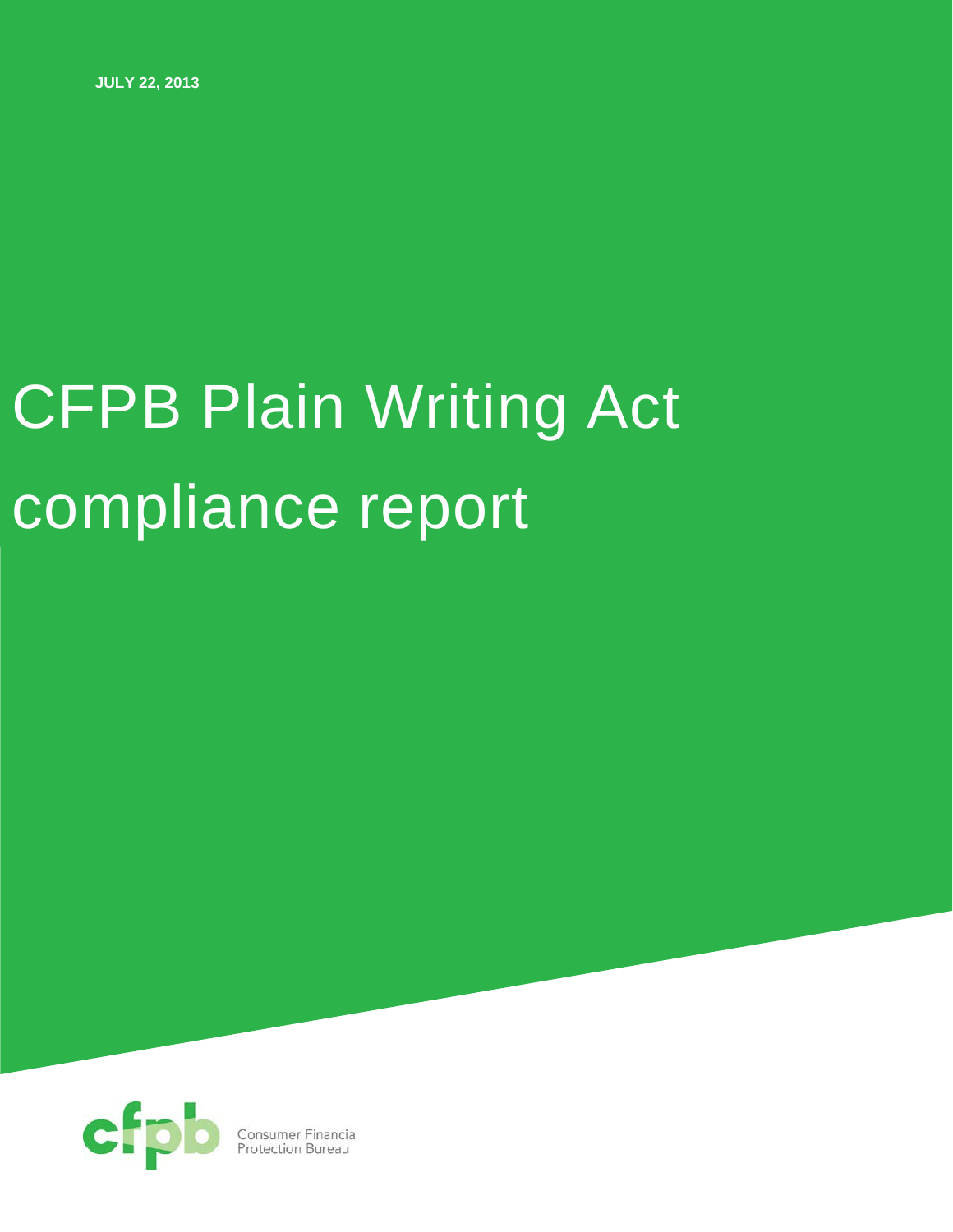**JULY 22, 2013**

# CFPB Plain Writing Act compliance report

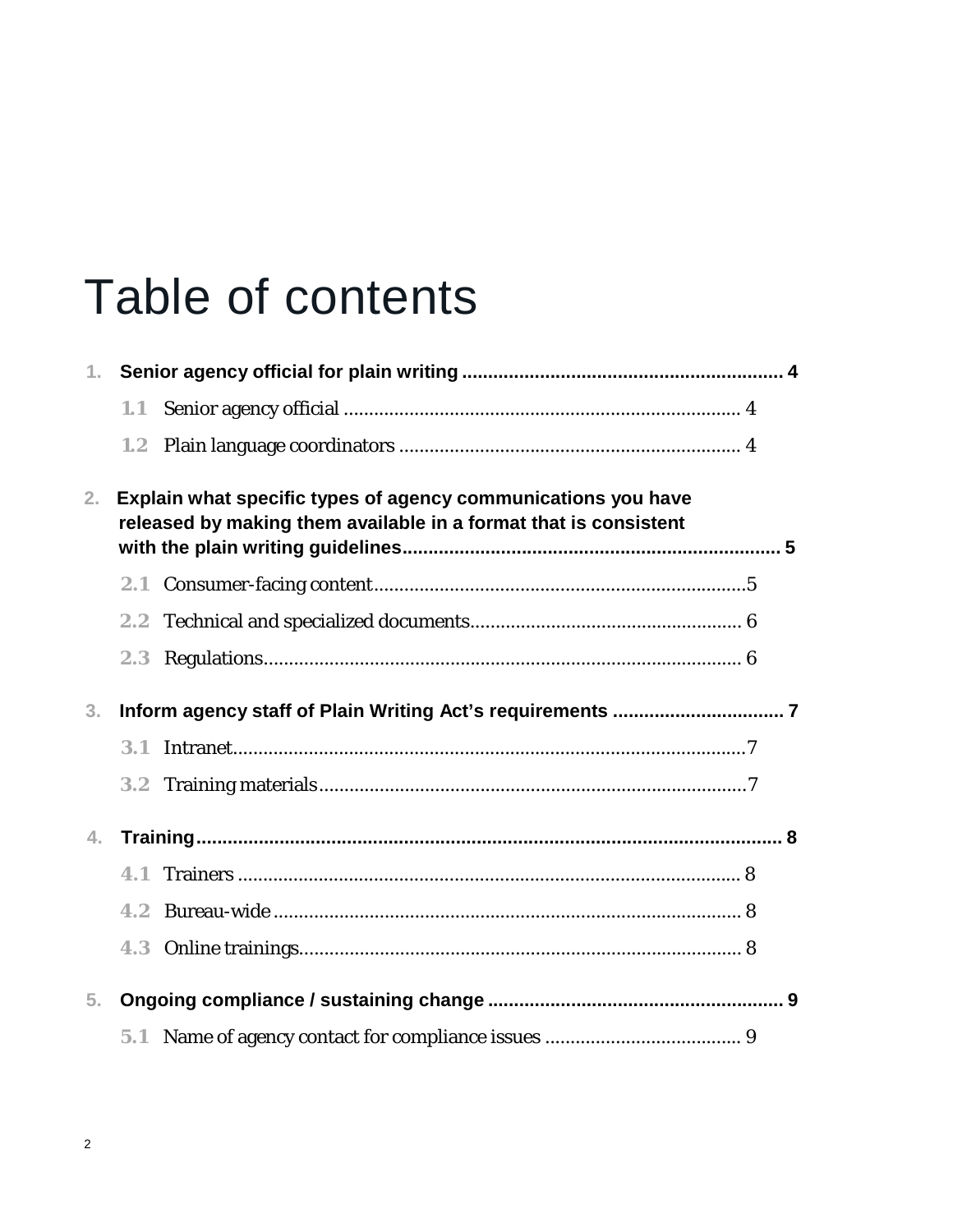### Table of contents

| 1.             |                                                                                                                                   |  |  |
|----------------|-----------------------------------------------------------------------------------------------------------------------------------|--|--|
|                | 1.1                                                                                                                               |  |  |
|                | 1.2 <sub>2</sub>                                                                                                                  |  |  |
| 2 <sub>1</sub> | Explain what specific types of agency communications you have<br>released by making them available in a format that is consistent |  |  |
|                | 2.1                                                                                                                               |  |  |
|                | 2.2                                                                                                                               |  |  |
|                | 2.3                                                                                                                               |  |  |
| 3 <sub>1</sub> |                                                                                                                                   |  |  |
|                | 3.1                                                                                                                               |  |  |
|                |                                                                                                                                   |  |  |
| 4.             |                                                                                                                                   |  |  |
|                | 4.1                                                                                                                               |  |  |
|                | 4.2                                                                                                                               |  |  |
|                | 4.3                                                                                                                               |  |  |
| 5.             |                                                                                                                                   |  |  |
|                |                                                                                                                                   |  |  |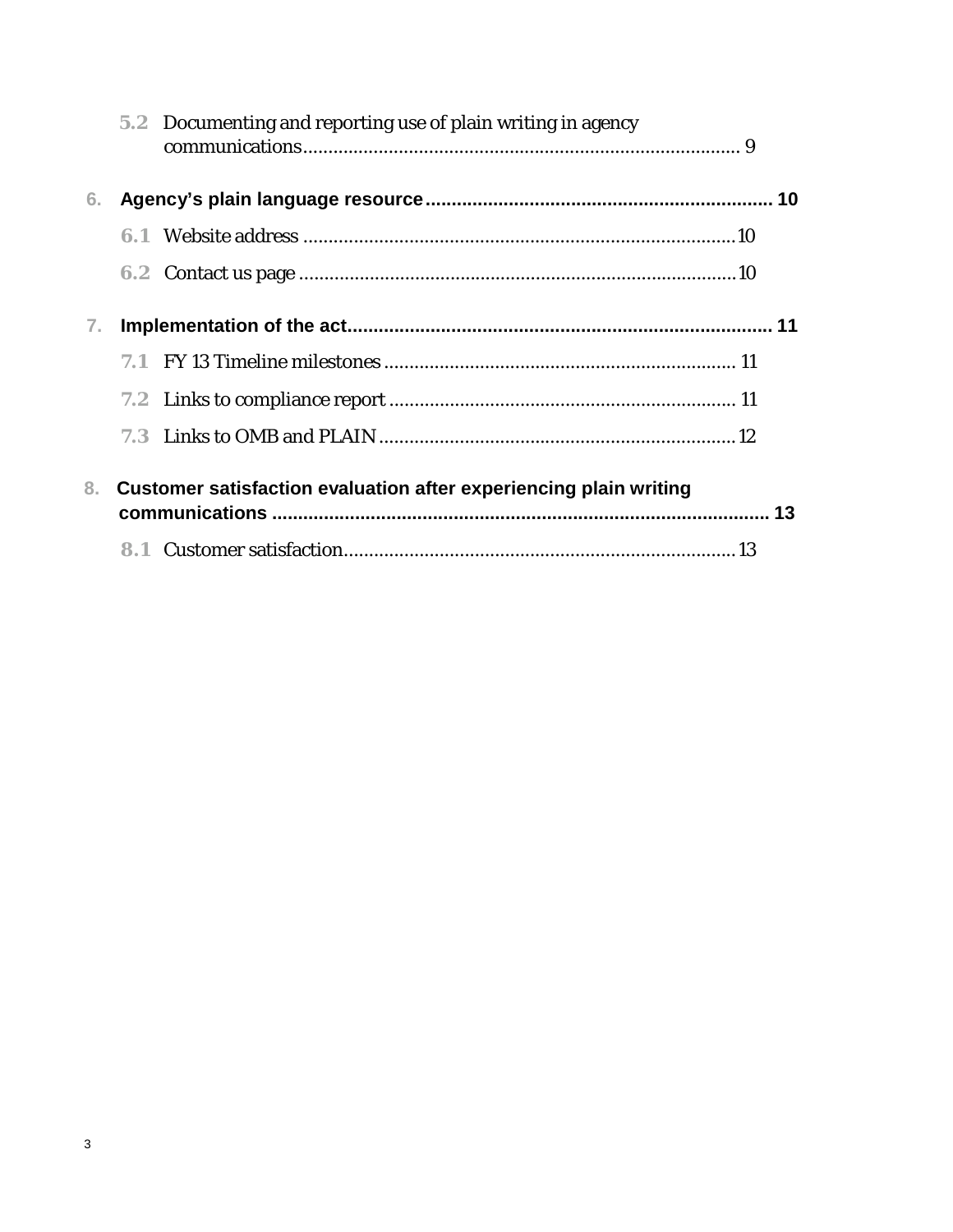|    | 5.2 Documenting and reporting use of plain writing in agency      |  |
|----|-------------------------------------------------------------------|--|
| 6. |                                                                   |  |
|    |                                                                   |  |
|    |                                                                   |  |
| 7. |                                                                   |  |
|    |                                                                   |  |
|    |                                                                   |  |
|    |                                                                   |  |
| 8. | Customer satisfaction evaluation after experiencing plain writing |  |
|    |                                                                   |  |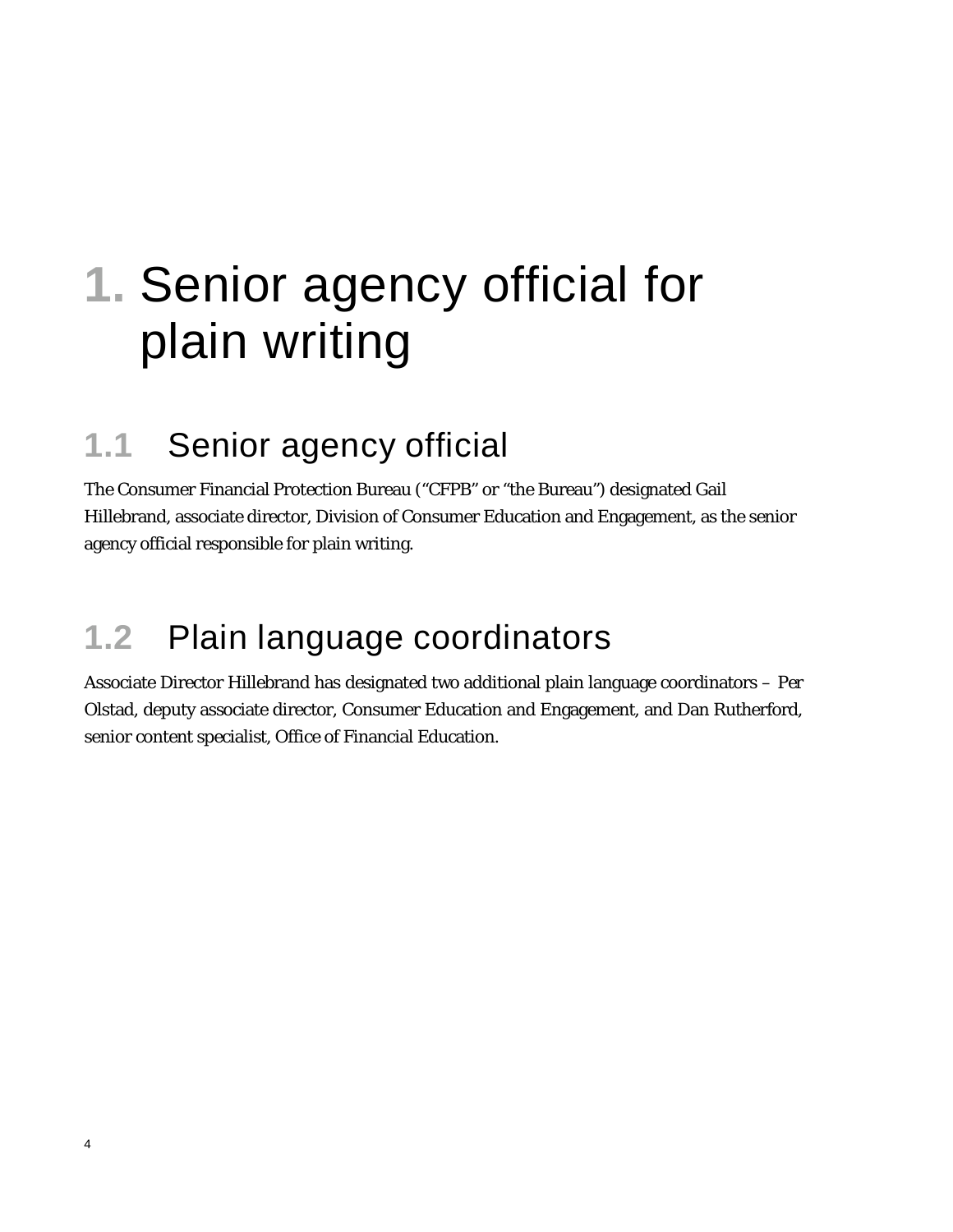### **1.** Senior agency official for plain writing

#### **1.1** Senior agency official

The Consumer Financial Protection Bureau ("CFPB" or "the Bureau") designated Gail Hillebrand, associate director, Division of Consumer Education and Engagement, as the senior agency official responsible for plain writing.

### **1.2** Plain language coordinators

Associate Director Hillebrand has designated two additional plain language coordinators – Per Olstad, deputy associate director, Consumer Education and Engagement, and Dan Rutherford, senior content specialist, Office of Financial Education.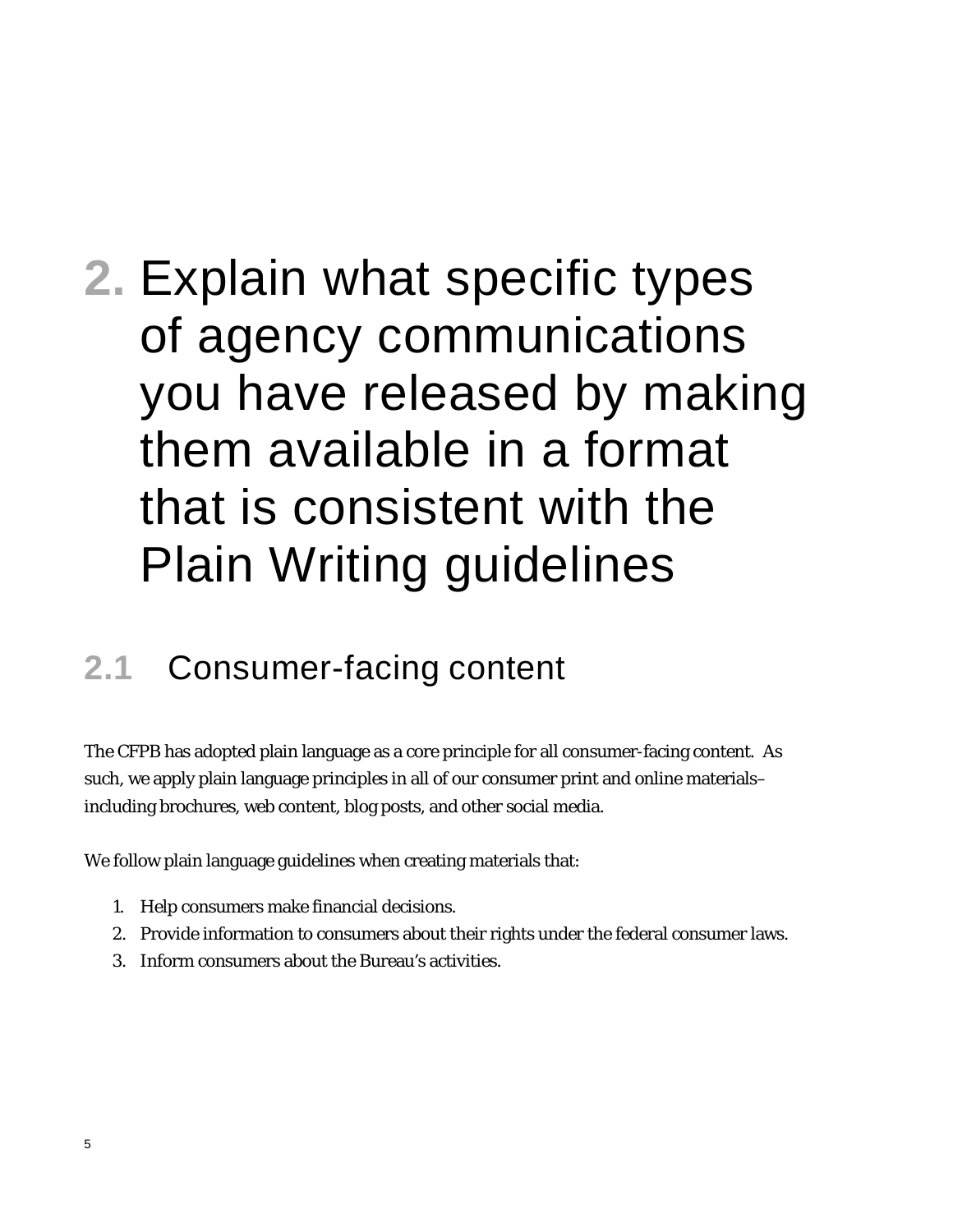### **2.** Explain what specific types of agency communications you have released by making them available in a format that is consistent with the Plain Writing guidelines

### **2.1** Consumer-facing content

The CFPB has adopted plain language as a core principle for all consumer-facing content. As such, we apply plain language principles in all of our consumer print and online materials– including brochures, web content, blog posts, and other social media.

We follow plain language guidelines when creating materials that:

- 1. Help consumers make financial decisions.
- 2. Provide information to consumers about their rights under the federal consumer laws.
- 3. Inform consumers about the Bureau's activities.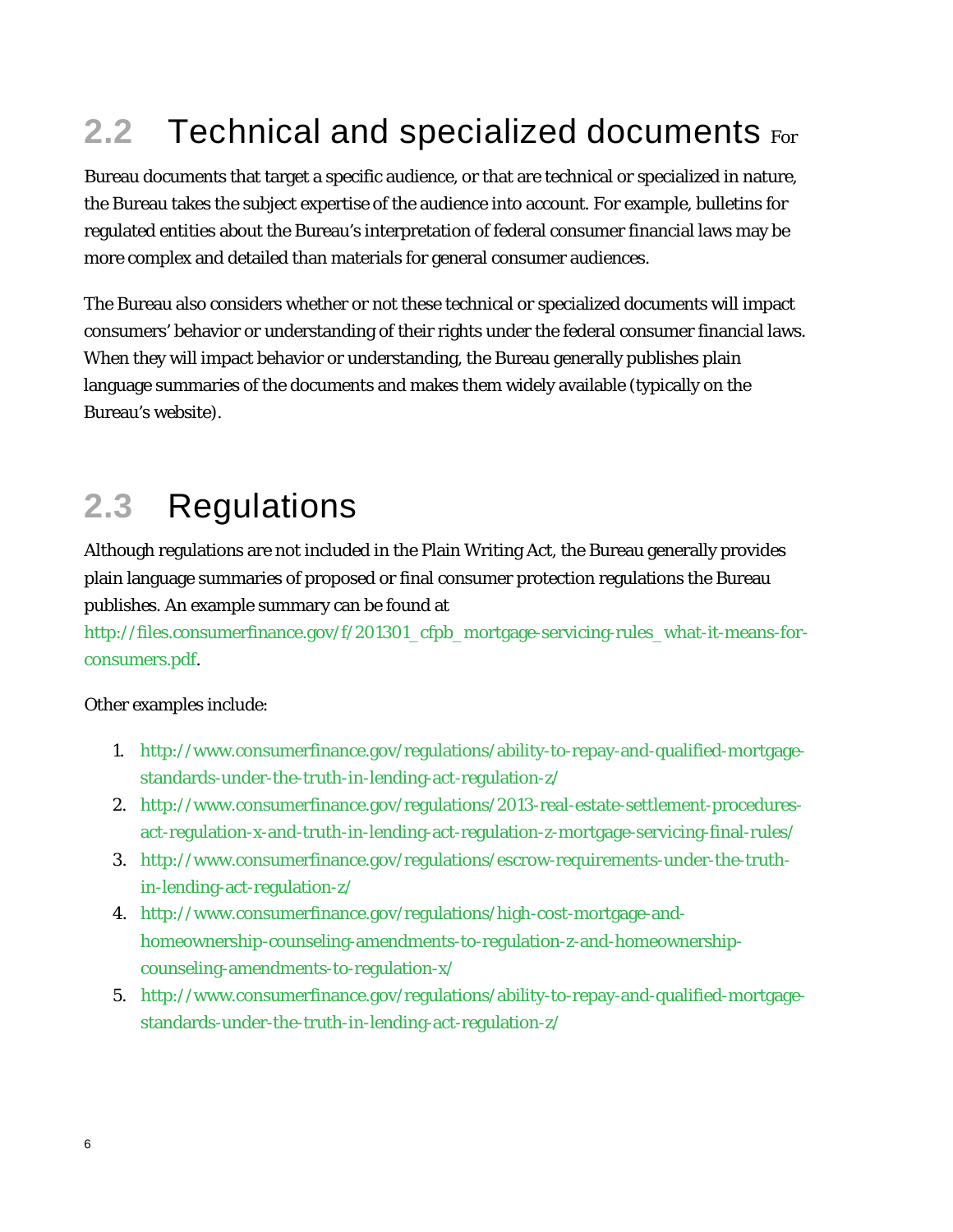### 2.2 Technical and specialized documents For

Bureau documents that target a specific audience, or that are technical or specialized in nature, the Bureau takes the subject expertise of the audience into account. For example, bulletins for regulated entities about the Bureau's interpretation of federal consumer financial laws may be more complex and detailed than materials for general consumer audiences.

The Bureau also considers whether or not these technical or specialized documents will impact consumers' behavior or understanding of their rights under the federal consumer financial laws. When they will impact behavior or understanding, the Bureau generally publishes plain language summaries of the documents and makes them widely available (typically on the Bureau's website).

### **2.3** Regulations

Although regulations are not included in the Plain Writing Act, the Bureau generally provides plain language summaries of proposed or final consumer protection regulations the Bureau publishes. An example summary can be found at

[http://files.consumerfinance.gov/f/201301\\_cfpb\\_mortgage-servicing-rules\\_what-it-means-for](http://files.consumerfinance.gov/f/201301_cfpb_mortgage-servicing-rules_what-it-means-for-consumers.pdf)[consumers.pdf.](http://files.consumerfinance.gov/f/201301_cfpb_mortgage-servicing-rules_what-it-means-for-consumers.pdf)

#### Other examples include:

- 1. [http://www.consumerfinance.gov/regulations/ability-to-repay-and-qualified-mortgage](http://www.consumerfinance.gov/regulations/ability-to-repay-and-qualified-mortgage-standards-under-the-truth-in-lending-act-regulation-z/)[standards-under-the-truth-in-lending-act-regulation-z/](http://www.consumerfinance.gov/regulations/ability-to-repay-and-qualified-mortgage-standards-under-the-truth-in-lending-act-regulation-z/)
- [2. http://www.consumerfinance.gov/regulations/2013-real-estate-settlement-procedures](http://www.consumerfinance.gov/regulations/2013-real-estate-settlement-procedures-act-regulation-x-and-truth-in-lending-act-regulation-z-mortgage-servicing-final-rules/)[act-regulation-x-and-truth-in-lending-act-regulation-z-mortgage-servicing-final-rules/](http://www.consumerfinance.gov/regulations/2013-real-estate-settlement-procedures-act-regulation-x-and-truth-in-lending-act-regulation-z-mortgage-servicing-final-rules/)
- [3. http://www.consumerfinance.gov/regulations/escrow-requirements-under-the-truth](http://www.consumerfinance.gov/regulations/escrow-requirements-under-the-truth-in-lending-act-regulation-z/)[in-lending-act-regulation-z/](http://www.consumerfinance.gov/regulations/escrow-requirements-under-the-truth-in-lending-act-regulation-z/)
- [4. http://www.consumerfinance.gov/regulations/high-cost-mortgage-and](http://www.consumerfinance.gov/regulations/high-cost-mortgage-and-homeownership-counseling-amendments-to-regulation-z-and-homeownership-counseling-amendments-to-regulation-x/)[homeownership-counseling-amendments-to-regulation-z-and-homeownership](http://www.consumerfinance.gov/regulations/high-cost-mortgage-and-homeownership-counseling-amendments-to-regulation-z-and-homeownership-counseling-amendments-to-regulation-x/)[counseling-amendments-to-regulation-x/](http://www.consumerfinance.gov/regulations/high-cost-mortgage-and-homeownership-counseling-amendments-to-regulation-z-and-homeownership-counseling-amendments-to-regulation-x/)
- [5. http://www.consumerfinance.gov/regulations/ability-to-repay-and-qualified-mortgage](http://www.consumerfinance.gov/regulations/ability-to-repay-and-qualified-mortgage-standards-under-the-truth-in-lending-act-regulation-z/)[standards-under-the-truth-in-lending-act-regulation-z/](http://www.consumerfinance.gov/regulations/ability-to-repay-and-qualified-mortgage-standards-under-the-truth-in-lending-act-regulation-z/)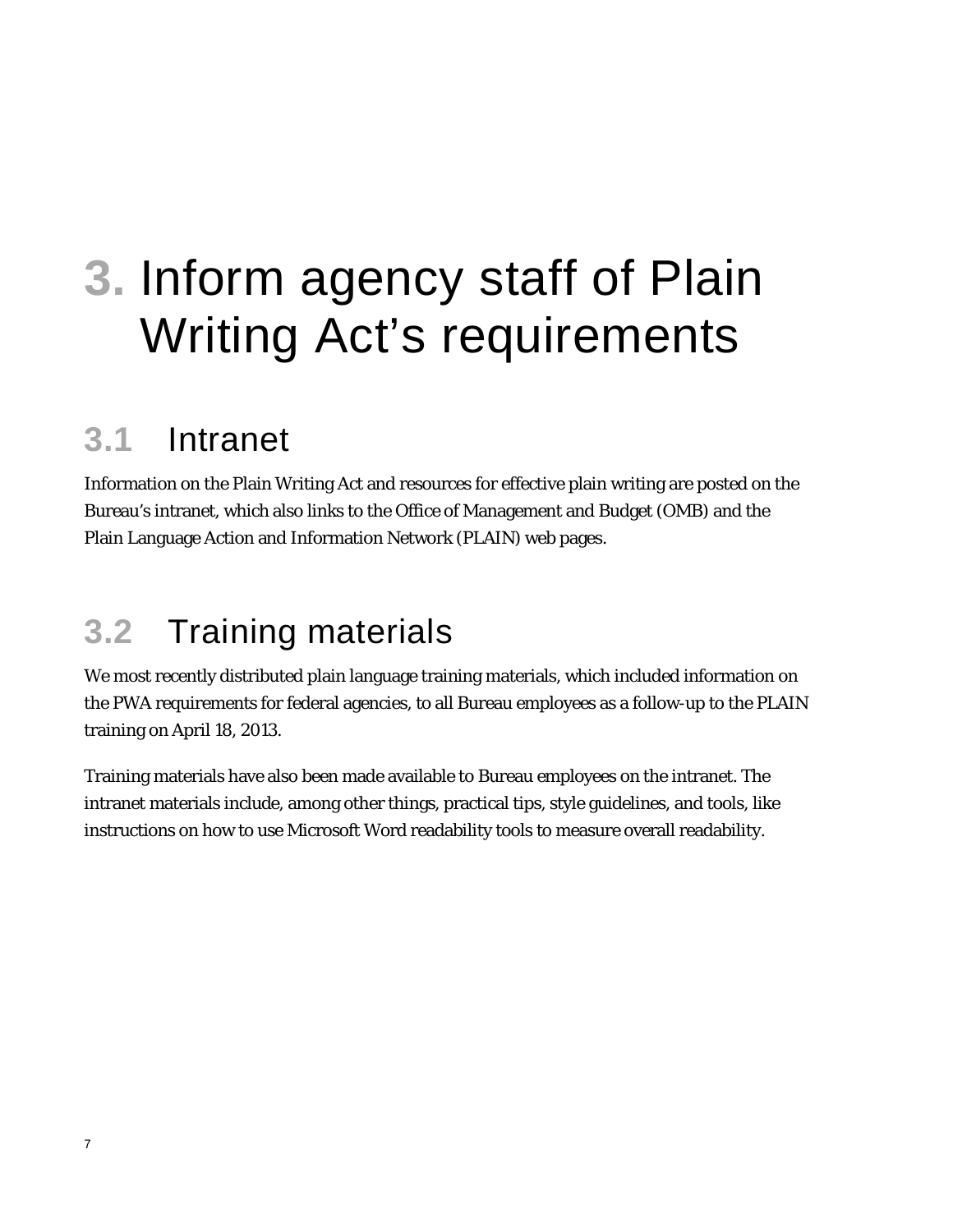### **3.** Inform agency staff of Plain Writing Act's requirements

### **3.1** Intranet

Information on the Plain Writing Act and resources for effective plain writing are posted on the Bureau's intranet, which also links to the Office of Management and Budget (OMB) and the Plain Language Action and Information Network (PLAIN) web pages.

### **3.2** Training materials

We most recently distributed plain language training materials, which included information on the PWA requirements for federal agencies, to all Bureau employees as a follow-up to the PLAIN training on April 18, 2013.

Training materials have also been made available to Bureau employees on the intranet. The intranet materials include, among other things, practical tips, style guidelines, and tools, like instructions on how to use Microsoft Word readability tools to measure overall readability.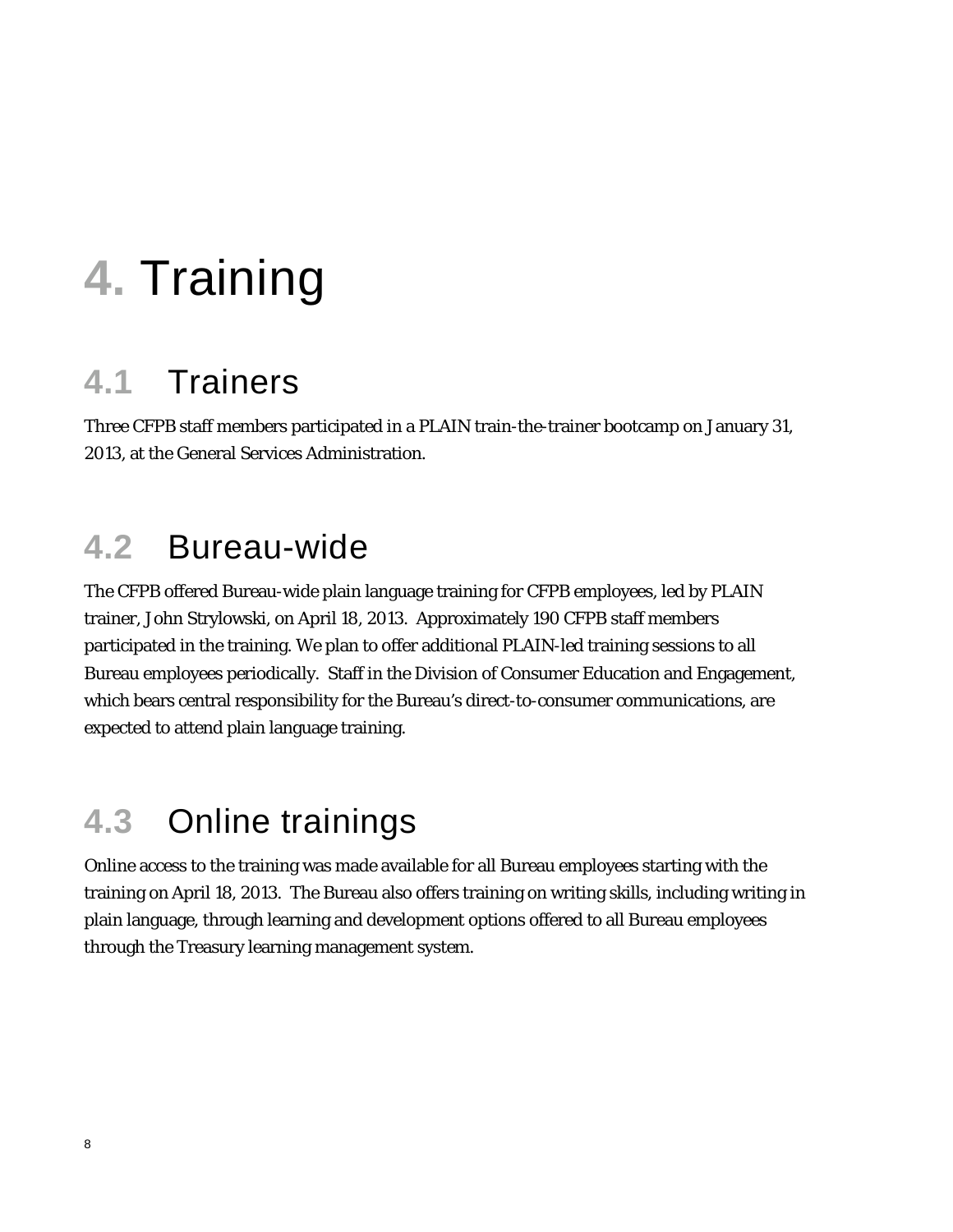# **4.** Training

#### **4.1** Trainers

Three CFPB staff members participated in a PLAIN train-the-trainer bootcamp on January 31, 2013, at the General Services Administration.

#### **4.2** Bureau-wide

The CFPB offered Bureau-wide plain language training for CFPB employees, led by PLAIN trainer, John Strylowski, on April 18, 2013. Approximately 190 CFPB staff members participated in the training. We plan to offer additional PLAIN-led training sessions to all Bureau employees periodically. Staff in the Division of Consumer Education and Engagement, which bears central responsibility for the Bureau's direct-to-consumer communications, are expected to attend plain language training.

#### **4.3** Online trainings

Online access to the training was made available for all Bureau employees starting with the training on April 18, 2013. The Bureau also offers training on writing skills, including writing in plain language, through learning and development options offered to all Bureau employees through the Treasury learning management system.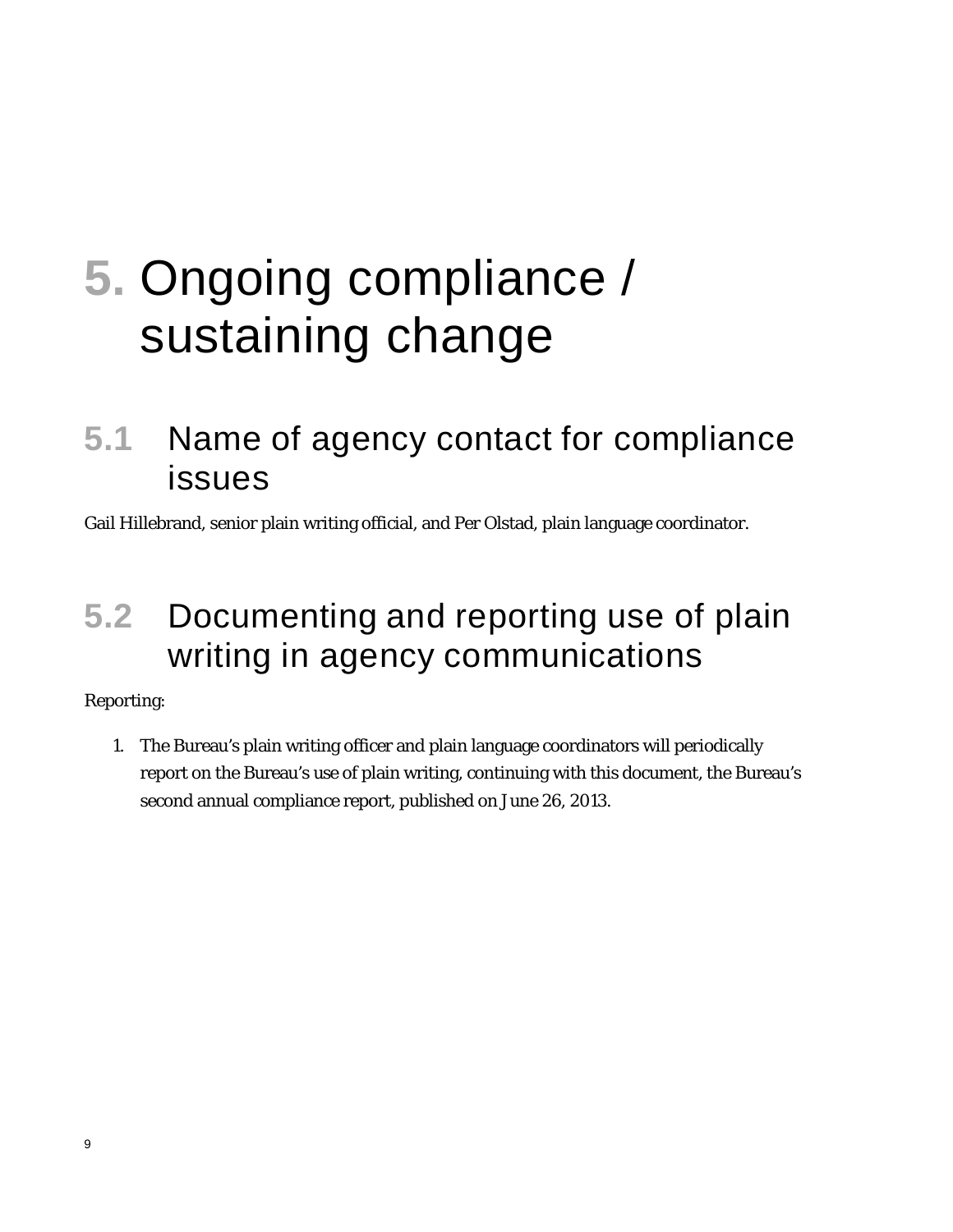### **5.** Ongoing compliance / sustaining change

#### **5.1** Name of agency contact for compliance issues

Gail Hillebrand, senior plain writing official, and Per Olstad, plain language coordinator.

### **5.2** Documenting and reporting use of plain writing in agency communications

Reporting:

1. The Bureau's plain writing officer and plain language coordinators will periodically report on the Bureau's use of plain writing, continuing with this document, the Bureau's second annual compliance report, published on June 26, 2013.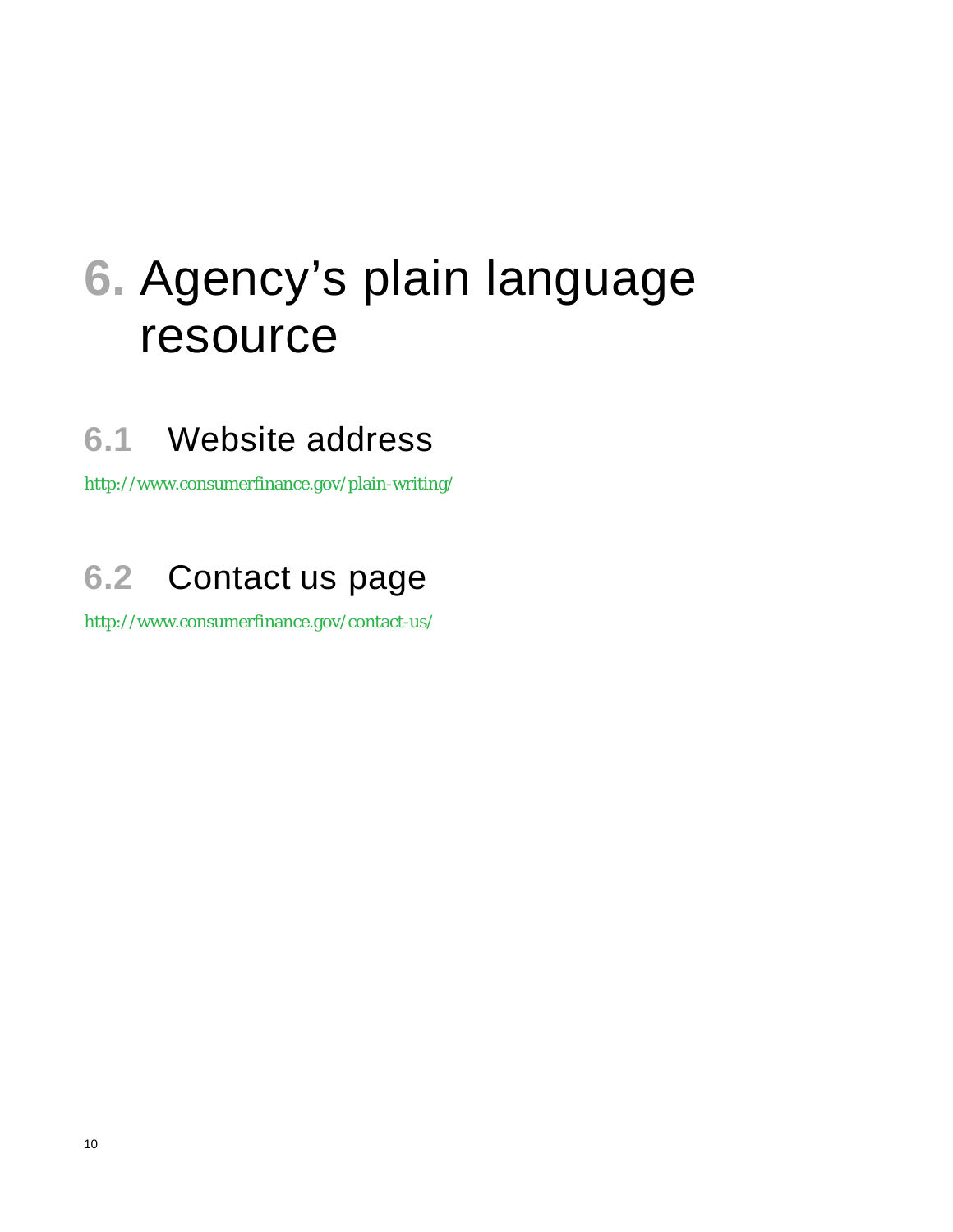### **6.** Agency's plain language resource

### **6.1** Website address

<http://www.consumerfinance.gov/plain-writing/>

### **6.2** Contact us page

<http://www.consumerfinance.gov/contact-us/>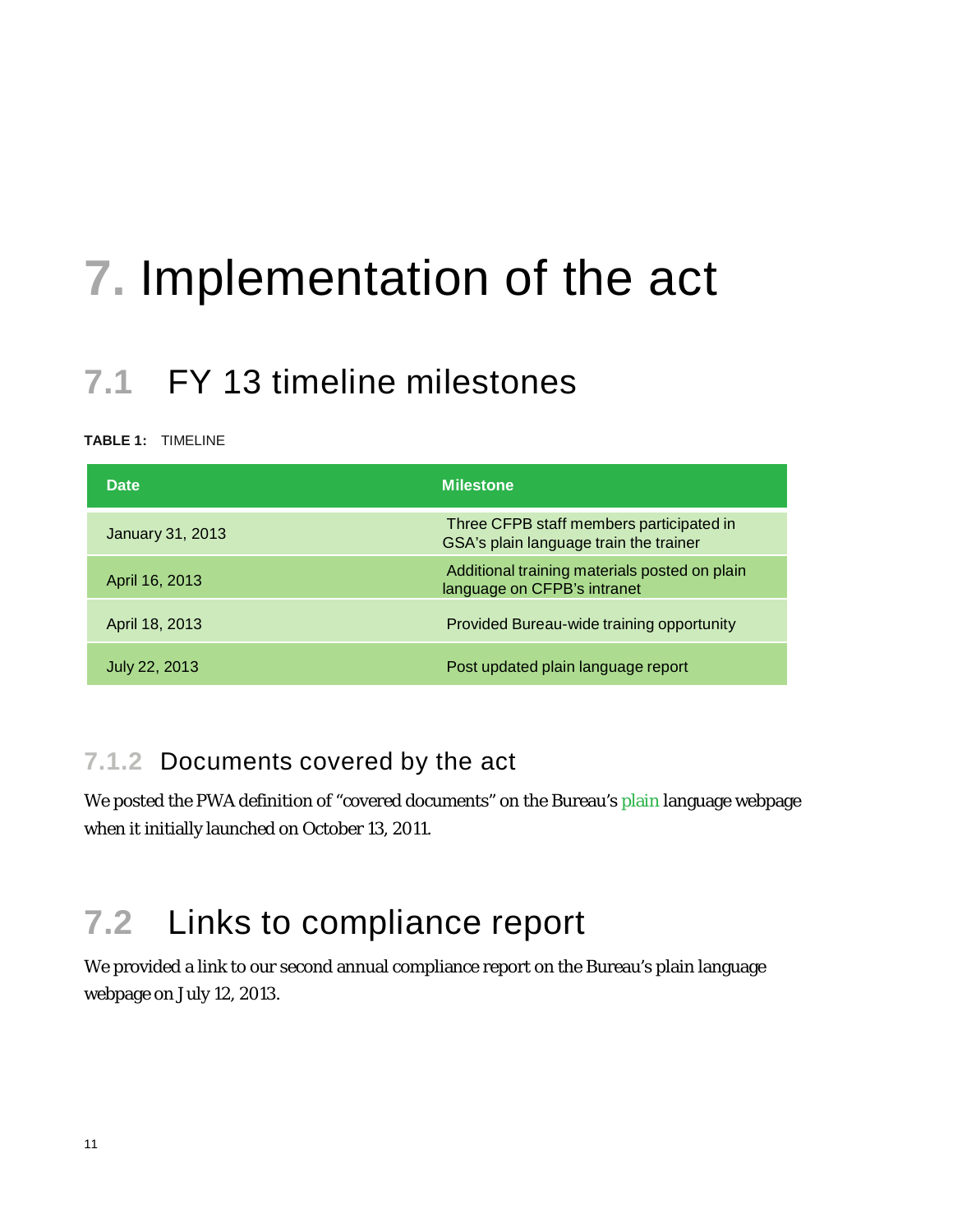# **7.** Implementation of the act

### **7.1** FY 13 timeline milestones

#### **TABLE 1:** TIMELINE

| <b>Date</b>      | <b>Milestone</b>                                                                   |
|------------------|------------------------------------------------------------------------------------|
| January 31, 2013 | Three CFPB staff members participated in<br>GSA's plain language train the trainer |
| April 16, 2013   | Additional training materials posted on plain<br>language on CFPB's intranet       |
| April 18, 2013   | Provided Bureau-wide training opportunity                                          |
| July 22, 2013    | Post updated plain language report                                                 |

#### **7.1.2** Documents covered by the act

We posted the PWA definition of "covered documents" on the Bureau's [plain](http://www.consumerfinance.gov/plain-writing/) language webpage when it initially launched on October 13, 2011.

### **7.2** Links to compliance report

We provided a link to our second annual compliance report on the Bureau's plain language webpage on July 12, 2013.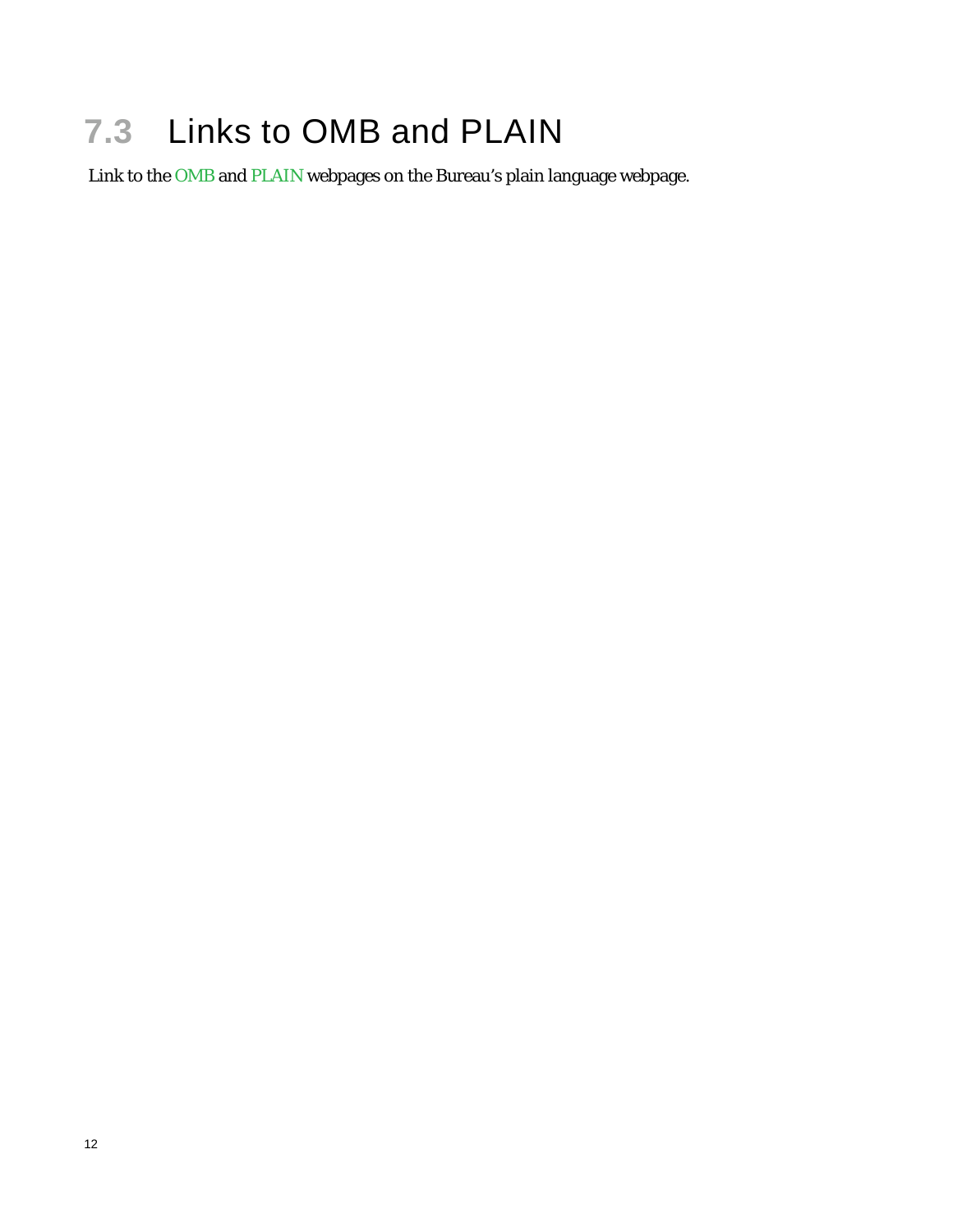### **7.3** Links to OMB and PLAIN

Link to the [OMB a](http://www.whitehouse.gov/blog/2011/04/19/putting-it-plainly)nd [PLAIN](http://www.plainlanguage.gov/) webpages on the Bureau's plain language webpage.